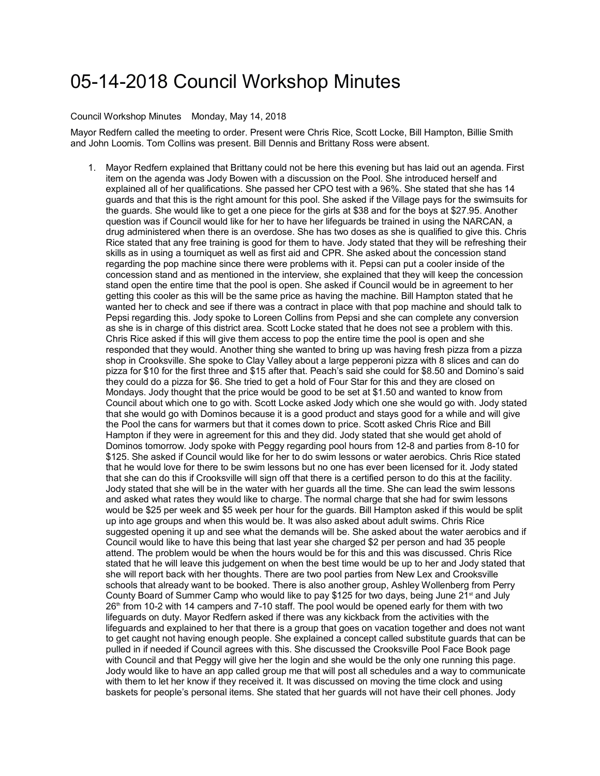## 05-14-2018 Council Workshop Minutes

## Council Workshop Minutes Monday, May 14, 2018

Mayor Redfern called the meeting to order. Present were Chris Rice, Scott Locke, Bill Hampton, Billie Smith and John Loomis. Tom Collins was present. Bill Dennis and Brittany Ross were absent.

1. Mayor Redfern explained that Brittany could not be here this evening but has laid out an agenda. First item on the agenda was Jody Bowen with a discussion on the Pool. She introduced herself and explained all of her qualifications. She passed her CPO test with a 96%. She stated that she has 14 guards and that this is the right amount for this pool. She asked if the Village pays for the swimsuits for the guards. She would like to get a one piece for the girls at \$38 and for the boys at \$27.95. Another question was if Council would like for her to have her lifeguards be trained in using the NARCAN, a drug administered when there is an overdose. She has two doses as she is qualified to give this. Chris Rice stated that any free training is good for them to have. Jody stated that they will be refreshing their skills as in using a tourniquet as well as first aid and CPR. She asked about the concession stand regarding the pop machine since there were problems with it. Pepsi can put a cooler inside of the concession stand and as mentioned in the interview, she explained that they will keep the concession stand open the entire time that the pool is open. She asked if Council would be in agreement to her getting this cooler as this will be the same price as having the machine. Bill Hampton stated that he wanted her to check and see if there was a contract in place with that pop machine and should talk to Pepsi regarding this. Jody spoke to Loreen Collins from Pepsi and she can complete any conversion as she is in charge of this district area. Scott Locke stated that he does not see a problem with this. Chris Rice asked if this will give them access to pop the entire time the pool is open and she responded that they would. Another thing she wanted to bring up was having fresh pizza from a pizza shop in Crooksville. She spoke to Clay Valley about a large pepperoni pizza with 8 slices and can do pizza for \$10 for the first three and \$15 after that. Peach's said she could for \$8.50 and Domino's said they could do a pizza for \$6. She tried to get a hold of Four Star for this and they are closed on Mondays. Jody thought that the price would be good to be set at \$1.50 and wanted to know from Council about which one to go with. Scott Locke asked Jody which one she would go with. Jody stated that she would go with Dominos because it is a good product and stays good for a while and will give the Pool the cans for warmers but that it comes down to price. Scott asked Chris Rice and Bill Hampton if they were in agreement for this and they did. Jody stated that she would get ahold of Dominos tomorrow. Jody spoke with Peggy regarding pool hours from 12-8 and parties from 8-10 for \$125. She asked if Council would like for her to do swim lessons or water aerobics. Chris Rice stated that he would love for there to be swim lessons but no one has ever been licensed for it. Jody stated that she can do this if Crooksville will sign off that there is a certified person to do this at the facility. Jody stated that she will be in the water with her guards all the time. She can lead the swim lessons and asked what rates they would like to charge. The normal charge that she had for swim lessons would be \$25 per week and \$5 week per hour for the guards. Bill Hampton asked if this would be split up into age groups and when this would be. It was also asked about adult swims. Chris Rice suggested opening it up and see what the demands will be. She asked about the water aerobics and if Council would like to have this being that last year she charged \$2 per person and had 35 people attend. The problem would be when the hours would be for this and this was discussed. Chris Rice stated that he will leave this judgement on when the best time would be up to her and Jody stated that she will report back with her thoughts. There are two pool parties from New Lex and Crooksville schools that already want to be booked. There is also another group, Ashley Wollenberg from Perry County Board of Summer Camp who would like to pay \$125 for two days, being June 21<sup>st</sup> and July  $26<sup>th</sup>$  from 10-2 with 14 campers and 7-10 staff. The pool would be opened early for them with two lifeguards on duty. Mayor Redfern asked if there was any kickback from the activities with the lifeguards and explained to her that there is a group that goes on vacation together and does not want to get caught not having enough people. She explained a concept called substitute guards that can be pulled in if needed if Council agrees with this. She discussed the Crooksville Pool Face Book page with Council and that Peggy will give her the login and she would be the only one running this page. Jody would like to have an app called group me that will post all schedules and a way to communicate with them to let her know if they received it. It was discussed on moving the time clock and using baskets for people's personal items. She stated that her guards will not have their cell phones. Jody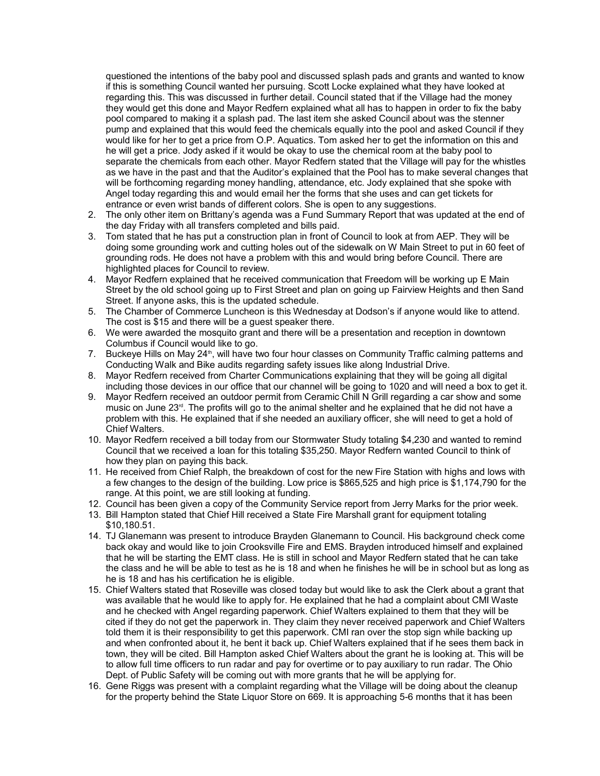questioned the intentions of the baby pool and discussed splash pads and grants and wanted to know if this is something Council wanted her pursuing. Scott Locke explained what they have looked at regarding this. This was discussed in further detail. Council stated that if the Village had the money they would get this done and Mayor Redfern explained what all has to happen in order to fix the baby pool compared to making it a splash pad. The last item she asked Council about was the stenner pump and explained that this would feed the chemicals equally into the pool and asked Council if they would like for her to get a price from O.P. Aquatics. Tom asked her to get the information on this and he will get a price. Jody asked if it would be okay to use the chemical room at the baby pool to separate the chemicals from each other. Mayor Redfern stated that the Village will pay for the whistles as we have in the past and that the Auditor's explained that the Pool has to make several changes that will be forthcoming regarding money handling, attendance, etc. Jody explained that she spoke with Angel today regarding this and would email her the forms that she uses and can get tickets for entrance or even wrist bands of different colors. She is open to any suggestions.

- 2. The only other item on Brittany's agenda was a Fund Summary Report that was updated at the end of the day Friday with all transfers completed and bills paid.
- 3. Tom stated that he has put a construction plan in front of Council to look at from AEP. They will be doing some grounding work and cutting holes out of the sidewalk on W Main Street to put in 60 feet of grounding rods. He does not have a problem with this and would bring before Council. There are highlighted places for Council to review.
- 4. Mayor Redfern explained that he received communication that Freedom will be working up E Main Street by the old school going up to First Street and plan on going up Fairview Heights and then Sand Street. If anyone asks, this is the updated schedule.
- 5. The Chamber of Commerce Luncheon is this Wednesday at Dodson's if anyone would like to attend. The cost is \$15 and there will be a guest speaker there.
- 6. We were awarded the mosquito grant and there will be a presentation and reception in downtown Columbus if Council would like to go.
- 7. Buckeye Hills on May 24<sup>th</sup>, will have two four hour classes on Community Traffic calming patterns and Conducting Walk and Bike audits regarding safety issues like along Industrial Drive.
- 8. Mayor Redfern received from Charter Communications explaining that they will be going all digital including those devices in our office that our channel will be going to 1020 and will need a box to get it.
- 9. Mayor Redfern received an outdoor permit from Ceramic Chill N Grill regarding a car show and some music on June 23rd. The profits will go to the animal shelter and he explained that he did not have a problem with this. He explained that if she needed an auxiliary officer, she will need to get a hold of Chief Walters.
- 10. Mayor Redfern received a bill today from our Stormwater Study totaling \$4,230 and wanted to remind Council that we received a loan for this totaling \$35,250. Mayor Redfern wanted Council to think of how they plan on paying this back.
- 11. He received from Chief Ralph, the breakdown of cost for the new Fire Station with highs and lows with a few changes to the design of the building. Low price is \$865,525 and high price is \$1,174,790 for the range. At this point, we are still looking at funding.
- 12. Council has been given a copy of the Community Service report from Jerry Marks for the prior week.
- 13. Bill Hampton stated that Chief Hill received a State Fire Marshall grant for equipment totaling \$10,180.51.
- 14. TJ Glanemann was present to introduce Brayden Glanemann to Council. His background check come back okay and would like to join Crooksville Fire and EMS. Brayden introduced himself and explained that he will be starting the EMT class. He is still in school and Mayor Redfern stated that he can take the class and he will be able to test as he is 18 and when he finishes he will be in school but as long as he is 18 and has his certification he is eligible.
- 15. Chief Walters stated that Roseville was closed today but would like to ask the Clerk about a grant that was available that he would like to apply for. He explained that he had a complaint about CMI Waste and he checked with Angel regarding paperwork. Chief Walters explained to them that they will be cited if they do not get the paperwork in. They claim they never received paperwork and Chief Walters told them it is their responsibility to get this paperwork. CMI ran over the stop sign while backing up and when confronted about it, he bent it back up. Chief Walters explained that if he sees them back in town, they will be cited. Bill Hampton asked Chief Walters about the grant he is looking at. This will be to allow full time officers to run radar and pay for overtime or to pay auxiliary to run radar. The Ohio Dept. of Public Safety will be coming out with more grants that he will be applying for.
- 16. Gene Riggs was present with a complaint regarding what the Village will be doing about the cleanup for the property behind the State Liquor Store on 669. It is approaching 5-6 months that it has been